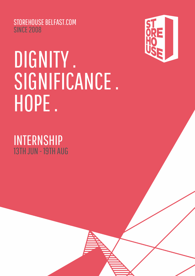STOREHOUSE BELFAST.COM **SINCE 2008** 

# DIGNITY. SIGNIFICANCE. HOPE.

INTERNSHIP 13TH JUN - 19TH AUG

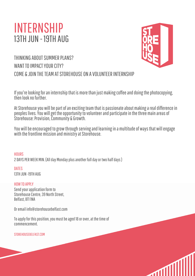# INTERNSHIP 13TH JUN - 19TH AUG



## THINKING ABOUT SUMMER PLANS? WANT TO IMPACT YOUR CITY? COME & JOIN THETEAM ATSTOREHOUSE ON AVOLUNTEERINTERNSHIP

If you're looking for an internship that is more than just making coffee and doing the photocopying, then look no further

At Storehouse you will be part of an exciting team that is passionate about making a real difference in peoples lives. You will get the opportunity to volunteer and participate in the three main areas of Storehouse: Provision, Community & Growth.

You will be encouraged to grow through serving and learning in a multitude of ways that will engage with the frontline mission and ministry at Storehouse.

**HOURS** 2 DAYS PER WEEK MIN. (All day Monday plus another full day or two half days)

**DATES** 13TH JUN -19TH AUG

HOWTO APPLY Send your application form to Storehouse Centre, 39 North Street. Belfast, BT1 1NA

Oremail info@storehousebelfast.com

To apply for this position, you must be aged 18 or over, at the time of commencement.

STOREHOUSEBELFAST.COM

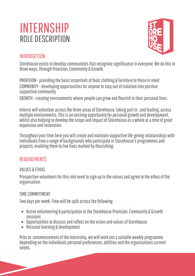# INTERNSHIP ROLE DESCRIPTION



#### **INTRODUCTION**

Storehouse exists to develop communities that recognise significance in everyone. We do this in three ways, through Provision, Community & Growth.

PROVISION - providing the basic essentials of food, clothing & furniture to those in need COMMUNITY - developing opportunities for anyone to step out of isolation into positive supportive community

GROWTH - creating environments where people can grow and flourish in their personal lives.

Interns will volunteer across the three areas of Storehouse, taking part in, and leading, across multiple environments. This is an exciting opportunity for personal growth and development, whilst also helping to develop the scope and impact of Storehouse as a whole at a time of great expansion and innovation.

Throughout your time here you will create and maintain supportive life-giving relationships with individuals from a range of backgrounds who participate in Storehouse's programmes and projects, enabling them to live lives marked by flourishing.

#### REQUIREMENTS

#### VALUES & ETHOS

Prospective volunteers for this role need to sign up to the values and agree to the ethos of the organisation.

## TIMECOMMITMENT TIMECOMMITTMENT

Two days per week. Time will be split across the following:

- Active volunteering & participation in the Storehouse Provision, Community & Growth sessions
- Opportunities to discuss and reflect on the vision and values of Storehouse
- Personal learning & development

Prior to commencement of the internship, we will work out a suitable weekly programme depending on the individuals personal preferences, abilities and the organisations current needs.